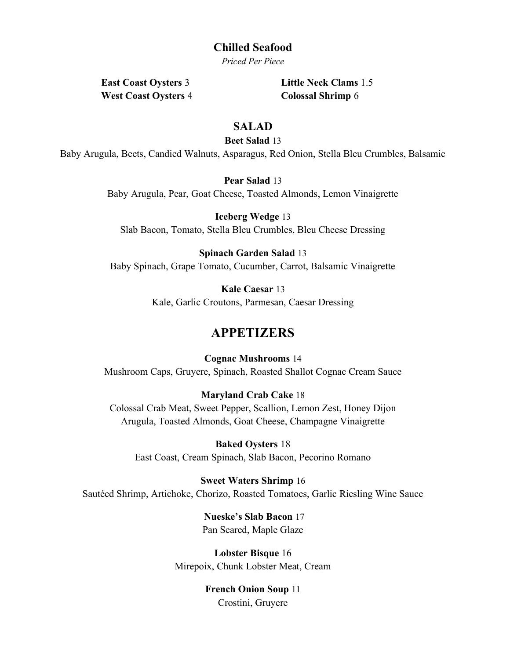## Chilled Seafood

Priced Per Piece

West Coast Oysters 4 Colossal Shrimp 6

East Coast Oysters 3 Little Neck Clams 1.5

## SALAD

Beet Salad 13

Baby Arugula, Beets, Candied Walnuts, Asparagus, Red Onion, Stella Bleu Crumbles, Balsamic

Pear Salad 13

Baby Arugula, Pear, Goat Cheese, Toasted Almonds, Lemon Vinaigrette

Iceberg Wedge 13 Slab Bacon, Tomato, Stella Bleu Crumbles, Bleu Cheese Dressing

Spinach Garden Salad 13 Baby Spinach, Grape Tomato, Cucumber, Carrot, Balsamic Vinaigrette

> Kale Caesar 13 Kale, Garlic Croutons, Parmesan, Caesar Dressing

# APPETIZERS

Cognac Mushrooms 14 Mushroom Caps, Gruyere, Spinach, Roasted Shallot Cognac Cream Sauce

Maryland Crab Cake 18 Colossal Crab Meat, Sweet Pepper, Scallion, Lemon Zest, Honey Dijon Arugula, Toasted Almonds, Goat Cheese, Champagne Vinaigrette

Baked Oysters 18 East Coast, Cream Spinach, Slab Bacon, Pecorino Romano

Sweet Waters Shrimp 16 Sautéed Shrimp, Artichoke, Chorizo, Roasted Tomatoes, Garlic Riesling Wine Sauce

> Nueske's Slab Bacon 17 Pan Seared, Maple Glaze

Lobster Bisque 16 Mirepoix, Chunk Lobster Meat, Cream

> French Onion Soup 11 Crostini, Gruyere